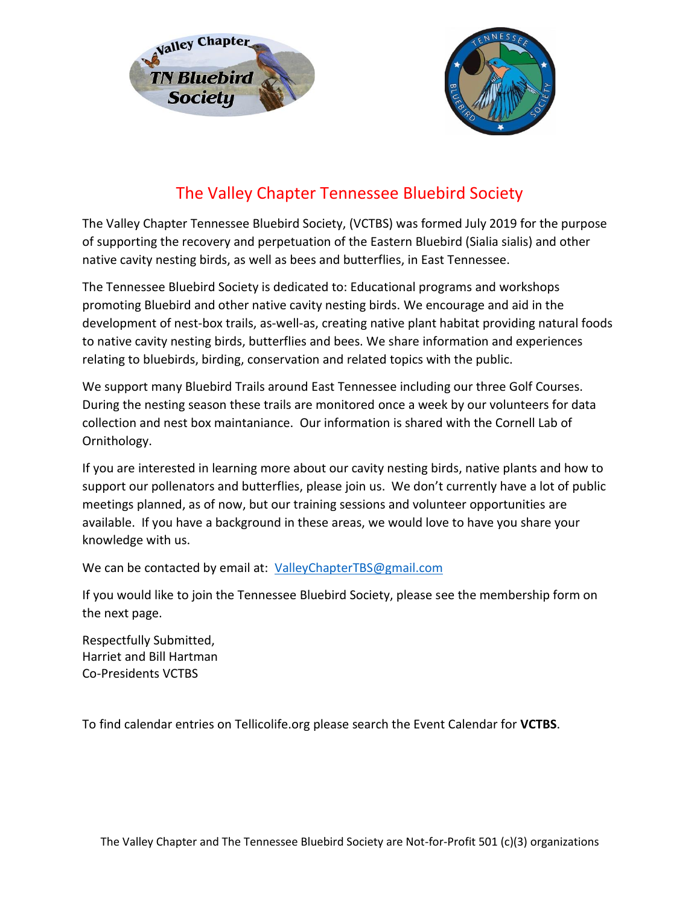



## The Valley Chapter Tennessee Bluebird Society

The Valley Chapter Tennessee Bluebird Society, (VCTBS) was formed July 2019 for the purpose of supporting the recovery and perpetuation of the Eastern Bluebird (Sialia sialis) and other native cavity nesting birds, as well as bees and butterflies, in East Tennessee.

The Tennessee Bluebird Society is dedicated to: Educational programs and workshops promoting Bluebird and other native cavity nesting birds. We encourage and aid in the development of nest-box trails, as-well-as, creating native plant habitat providing natural foods to native cavity nesting birds, butterflies and bees. We share information and experiences relating to bluebirds, birding, conservation and related topics with the public.

We support many Bluebird Trails around East Tennessee including our three Golf Courses. During the nesting season these trails are monitored once a week by our volunteers for data collection and nest box maintaniance. Our information is shared with the Cornell Lab of Ornithology.

If you are interested in learning more about our cavity nesting birds, native plants and how to support our pollenators and butterflies, please join us. We don't currently have a lot of public meetings planned, as of now, but our training sessions and volunteer opportunities are available. If you have a background in these areas, we would love to have you share your knowledge with us.

We can be contacted by email at: ValleyChapterTBS@gmail.com

If you would like to join the Tennessee Bluebird Society, please see the membership form on the next page.

Respectfully Submitted, Harriet and Bill Hartman Co-Presidents VCTBS

To find calendar entries on Tellicolife.org please search the Event Calendar for **VCTBS**.